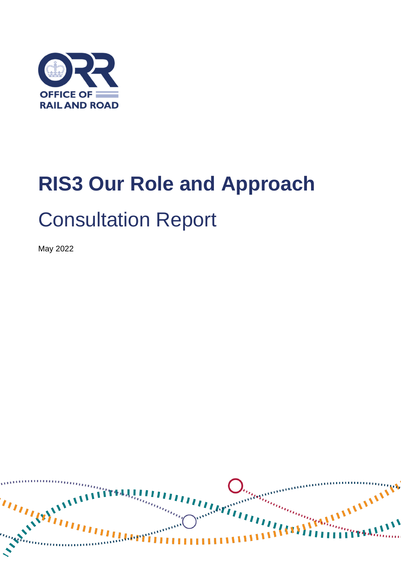

# **RIS3 Our Role and Approach** Consultation Report

May 2022

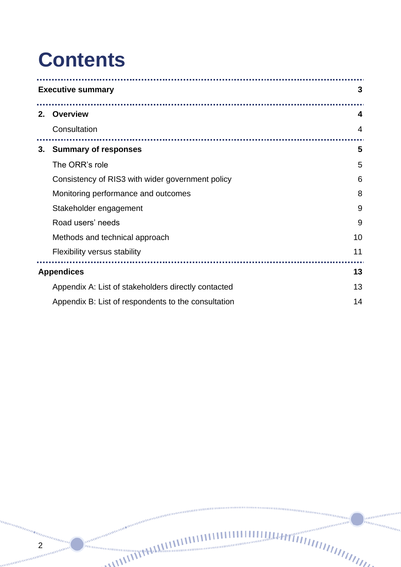### **Contents**

2

am mm

un<sub>tungga</sub>n

|    | <b>Executive summary</b><br>3                       |                |
|----|-----------------------------------------------------|----------------|
| 2. | <b>Overview</b>                                     | 4              |
|    | Consultation                                        | $\overline{4}$ |
|    | 3. Summary of responses                             | 5              |
|    | The ORR's role                                      | 5              |
|    | Consistency of RIS3 with wider government policy    | 6              |
|    | Monitoring performance and outcomes                 | 8              |
|    | Stakeholder engagement                              | 9              |
|    | Road users' needs                                   | 9              |
|    | Methods and technical approach                      | 10             |
|    | Flexibility versus stability                        | 11             |
|    | .<br><b>Appendices</b><br>13                        |                |
|    | Appendix A: List of stakeholders directly contacted | 13             |
|    | Appendix B: List of respondents to the consultation | 14             |

na<sub>nanana</sub>

......

 $\overline{u}$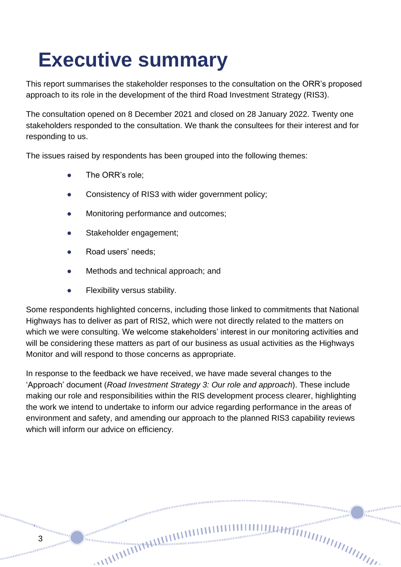# <span id="page-2-0"></span>**Executive summary**

This report summarises the stakeholder responses to the consultation on the ORR's proposed approach to its role in the development of the third Road Investment Strategy (RIS3).

The consultation opened on 8 December 2021 and closed on 28 January 2022. Twenty one stakeholders responded to the consultation. We thank the consultees for their interest and for responding to us.

The issues raised by respondents has been grouped into the following themes:

- The ORR's role:
- Consistency of RIS3 with wider government policy;
- Monitoring performance and outcomes:
- Stakeholder engagement:
- Road users' needs;

3

annan

- Methods and technical approach; and
- Flexibility versus stability.

Some respondents highlighted concerns, including those linked to commitments that National Highways has to deliver as part of RIS2, which were not directly related to the matters on which we were consulting. We welcome stakeholders' interest in our monitoring activities and will be considering these matters as part of our business as usual activities as the Highways Monitor and will respond to those concerns as appropriate.

In response to the feedback we have received, we have made several changes to the 'Approach' document (*Road Investment Strategy 3: Our role and approach*). These include making our role and responsibilities within the RIS development process clearer, highlighting the work we intend to undertake to inform our advice regarding performance in the areas of environment and safety, and amending our approach to the planned RIS3 capability reviews which will inform our advice on efficiency.

nummummu

annin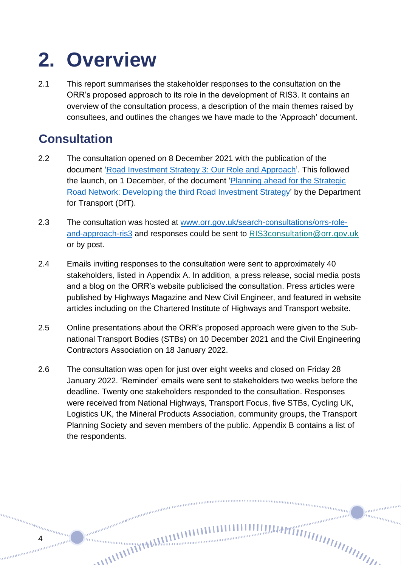# <span id="page-3-0"></span>**2. Overview**

2.1 This report summarises the stakeholder responses to the consultation on the ORR's proposed approach to its role in the development of RIS3. It contains an overview of the consultation process, a description of the main themes raised by consultees, and outlines the changes we have made to the 'Approach' document.

### <span id="page-3-1"></span>**Consultation**

4

- 2.2 The consultation opened on 8 December 2021 with the publication of the document ['Road Investment Strategy 3: Our Role and Approach'](https://www.orr.gov.uk/sites/default/files/2021-12/consultation-document-on-orrs-role-and-approach-to-road-investment-strategy-3-ris3.pdf). This followed the launch, on 1 December, of the document ['Planning ahead for the Strategic](https://assets.publishing.service.gov.uk/government/uploads/system/uploads/attachment_data/file/1045938/planning-ahead-for-the-strategic-road-network-developing-the-third-road-investment-strategy.pdf) [Road Network: Developing the third Road Investment](https://assets.publishing.service.gov.uk/government/uploads/system/uploads/attachment_data/file/1045938/planning-ahead-for-the-strategic-road-network-developing-the-third-road-investment-strategy.pdf) Strategy' by the Department for Transport (DfT).
- 2.3 The consultation was hosted at [www.orr.gov.uk/search-consultations/orrs-role](https://www.orr.gov.uk/search-consultations/orrs-role-and-approach-ris3)[and-approach-ris3](https://www.orr.gov.uk/search-consultations/orrs-role-and-approach-ris3) and responses could be sent to [RIS3consultation@orr.gov.uk](mailto:RIS3consultation@orr.gov.uk?subject=ORR%20RIS3%20consultation%20response) or by post.
- 2.4 Emails inviting responses to the consultation were sent to approximately 40 stakeholders, listed in Appendix A. In addition, a press release, social media posts and a blog on the ORR's website publicised the consultation. Press articles were published by Highways Magazine and New Civil Engineer, and featured in website articles including on the Chartered Institute of Highways and Transport website.
- 2.5 Online presentations about the ORR's proposed approach were given to the Subnational Transport Bodies (STBs) on 10 December 2021 and the Civil Engineering Contractors Association on 18 January 2022.
- 2.6 The consultation was open for just over eight weeks and closed on Friday 28 January 2022. 'Reminder' emails were sent to stakeholders two weeks before the deadline. Twenty one stakeholders responded to the consultation. Responses were received from National Highways, Transport Focus, five STBs, Cycling UK, Logistics UK, the Mineral Products Association, community groups, the Transport Planning Society and seven members of the public. Appendix B contains a list of the respondents.

annumun in<sub>nnmmm</sub>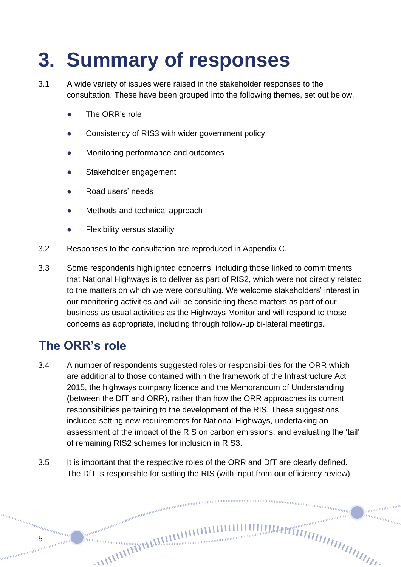# <span id="page-4-0"></span>**3. Summary of responses**

- 3.1 A wide variety of issues were raised in the stakeholder responses to the consultation. These have been grouped into the following themes, set out below.
	- The ORR's role
	- Consistency of RIS3 with wider government policy
	- Monitoring performance and outcomes
	- Stakeholder engagement
	- Road users' needs
	- Methods and technical approach
	- **Flexibility versus stability**
- 3.2 Responses to the consultation are reproduced in Appendix C.
- 3.3 Some respondents highlighted concerns, including those linked to commitments that National Highways is to deliver as part of RIS2, which were not directly related to the matters on which we were consulting. We welcome stakeholders' interest in our monitoring activities and will be considering these matters as part of our business as usual activities as the Highways Monitor and will respond to those concerns as appropriate, including through follow-up bi-lateral meetings.

### <span id="page-4-1"></span>**The ORR's role**

annan

- 3.4 A number of respondents suggested roles or responsibilities for the ORR which are additional to those contained within the framework of the Infrastructure Act 2015, the highways company licence and the Memorandum of Understanding (between the DfT and ORR), rather than how the ORR approaches its current responsibilities pertaining to the development of the RIS. These suggestions included setting new requirements for National Highways, undertaking an assessment of the impact of the RIS on carbon emissions, and evaluating the 'tail' of remaining RIS2 schemes for inclusion in RIS3.
- 3.5 It is important that the respective roles of the ORR and DfT are clearly defined. The DfT is responsible for setting the RIS (with input from our efficiency review)

 $m n_{m n m m}$ 

anananan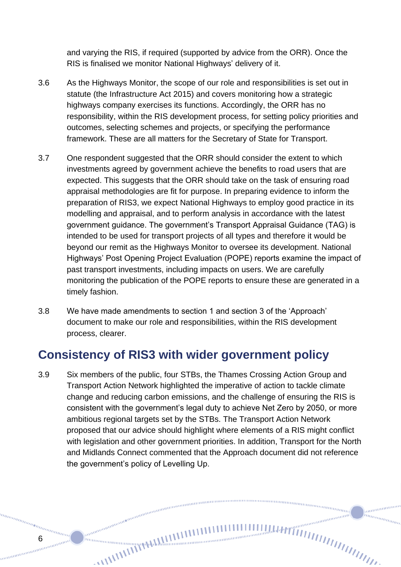and varying the RIS, if required (supported by advice from the ORR). Once the RIS is finalised we monitor National Highways' delivery of it.

- 3.6 As the Highways Monitor, the scope of our role and responsibilities is set out in statute (the Infrastructure Act 2015) and covers monitoring how a strategic highways company exercises its functions. Accordingly, the ORR has no responsibility, within the RIS development process, for setting policy priorities and outcomes, selecting schemes and projects, or specifying the performance framework. These are all matters for the Secretary of State for Transport.
- 3.7 One respondent suggested that the ORR should consider the extent to which investments agreed by government achieve the benefits to road users that are expected. This suggests that the ORR should take on the task of ensuring road appraisal methodologies are fit for purpose. In preparing evidence to inform the preparation of RIS3, we expect National Highways to employ good practice in its modelling and appraisal, and to perform analysis in accordance with the latest government guidance. The government's Transport Appraisal Guidance (TAG) is intended to be used for transport projects of all types and therefore it would be beyond our remit as the Highways Monitor to oversee its development. National Highways' Post Opening Project Evaluation (POPE) reports examine the impact of past transport investments, including impacts on users. We are carefully monitoring the publication of the POPE reports to ensure these are generated in a timely fashion.
- 3.8 We have made amendments to section 1 and section 3 of the 'Approach' document to make our role and responsibilities, within the RIS development process, clearer.

#### <span id="page-5-0"></span>**Consistency of RIS3 with wider government policy**

6

anana

3.9 Six members of the public, four STBs, the Thames Crossing Action Group and Transport Action Network highlighted the imperative of action to tackle climate change and reducing carbon emissions, and the challenge of ensuring the RIS is consistent with the government's legal duty to achieve Net Zero by 2050, or more ambitious regional targets set by the STBs. The Transport Action Network proposed that our advice should highlight where elements of a RIS might conflict with legislation and other government priorities. In addition, Transport for the North and Midlands Connect commented that the Approach document did not reference the government's policy of Levelling Up.

nunnung<br><sup>nunnung</sup>

annumum

in<sub>nnmmm</sub>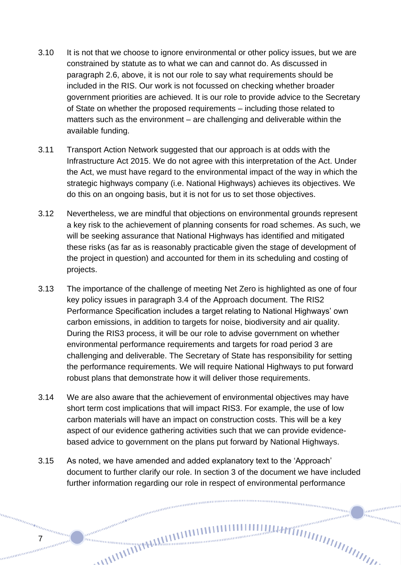- 3.10 It is not that we choose to ignore environmental or other policy issues, but we are constrained by statute as to what we can and cannot do. As discussed in paragraph 2.6, above, it is not our role to say what requirements should be included in the RIS. Our work is not focussed on checking whether broader government priorities are achieved. It is our role to provide advice to the Secretary of State on whether the proposed requirements – including those related to matters such as the environment – are challenging and deliverable within the available funding.
- 3.11 Transport Action Network suggested that our approach is at odds with the Infrastructure Act 2015. We do not agree with this interpretation of the Act. Under the Act, we must have regard to the environmental impact of the way in which the strategic highways company (i.e. National Highways) achieves its objectives. We do this on an ongoing basis, but it is not for us to set those objectives.
- 3.12 Nevertheless, we are mindful that objections on environmental grounds represent a key risk to the achievement of planning consents for road schemes. As such, we will be seeking assurance that National Highways has identified and mitigated these risks (as far as is reasonably practicable given the stage of development of the project in question) and accounted for them in its scheduling and costing of projects.
- 3.13 The importance of the challenge of meeting Net Zero is highlighted as one of four key policy issues in paragraph 3.4 of the Approach document. The RIS2 Performance Specification includes a target relating to National Highways' own carbon emissions, in addition to targets for noise, biodiversity and air quality. During the RIS3 process, it will be our role to advise government on whether environmental performance requirements and targets for road period 3 are challenging and deliverable. The Secretary of State has responsibility for setting the performance requirements. We will require National Highways to put forward robust plans that demonstrate how it will deliver those requirements.
- 3.14 We are also aware that the achievement of environmental objectives may have short term cost implications that will impact RIS3. For example, the use of low carbon materials will have an impact on construction costs. This will be a key aspect of our evidence gathering activities such that we can provide evidencebased advice to government on the plans put forward by National Highways.
- 3.15 As noted, we have amended and added explanatory text to the 'Approach' document to further clarify our role. In section 3 of the document we have included further information regarding our role in respect of environmental performance

nummunum

annonomo hunggan d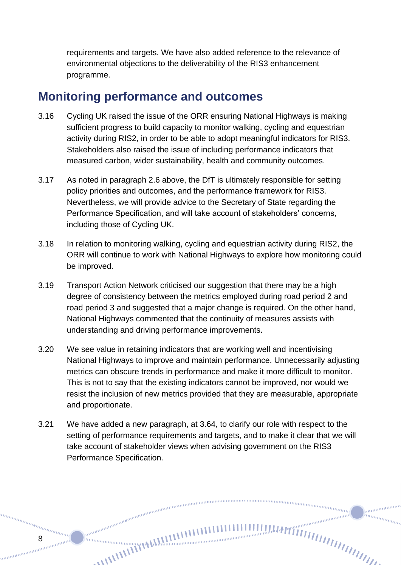requirements and targets. We have also added reference to the relevance of environmental objections to the deliverability of the RIS3 enhancement programme.

#### <span id="page-7-0"></span>**Monitoring performance and outcomes**

- 3.16 Cycling UK raised the issue of the ORR ensuring National Highways is making sufficient progress to build capacity to monitor walking, cycling and equestrian activity during RIS2, in order to be able to adopt meaningful indicators for RIS3. Stakeholders also raised the issue of including performance indicators that measured carbon, wider sustainability, health and community outcomes.
- 3.17 As noted in paragraph 2.6 above, the DfT is ultimately responsible for setting policy priorities and outcomes, and the performance framework for RIS3. Nevertheless, we will provide advice to the Secretary of State regarding the Performance Specification, and will take account of stakeholders' concerns, including those of Cycling UK.
- 3.18 In relation to monitoring walking, cycling and equestrian activity during RIS2, the ORR will continue to work with National Highways to explore how monitoring could be improved.
- 3.19 Transport Action Network criticised our suggestion that there may be a high degree of consistency between the metrics employed during road period 2 and road period 3 and suggested that a major change is required. On the other hand, National Highways commented that the continuity of measures assists with understanding and driving performance improvements.
- 3.20 We see value in retaining indicators that are working well and incentivising National Highways to improve and maintain performance. Unnecessarily adjusting metrics can obscure trends in performance and make it more difficult to monitor. This is not to say that the existing indicators cannot be improved, nor would we resist the inclusion of new metrics provided that they are measurable, appropriate and proportionate.
- 3.21 We have added a new paragraph, at 3.64, to clarify our role with respect to the setting of performance requirements and targets, and to make it clear that we will take account of stakeholder views when advising government on the RIS3 Performance Specification.

0000000000000000000000000

anananan inn<sub>innin</sub>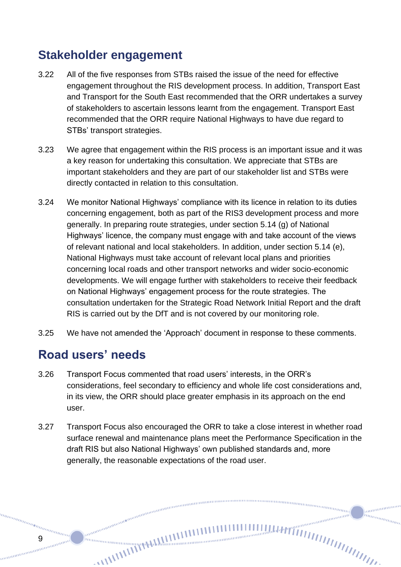#### <span id="page-8-0"></span>**Stakeholder engagement**

- 3.22 All of the five responses from STBs raised the issue of the need for effective engagement throughout the RIS development process. In addition, Transport East and Transport for the South East recommended that the ORR undertakes a survey of stakeholders to ascertain lessons learnt from the engagement. Transport East recommended that the ORR require National Highways to have due regard to STBs' transport strategies.
- 3.23 We agree that engagement within the RIS process is an important issue and it was a key reason for undertaking this consultation. We appreciate that STBs are important stakeholders and they are part of our stakeholder list and STBs were directly contacted in relation to this consultation.
- 3.24 We monitor National Highways' compliance with its licence in relation to its duties concerning engagement, both as part of the RIS3 development process and more generally. In preparing route strategies, under section 5.14 (g) of National Highways' licence, the company must engage with and take account of the views of relevant national and local stakeholders. In addition, under section 5.14 (e), National Highways must take account of relevant local plans and priorities concerning local roads and other transport networks and wider socio-economic developments. We will engage further with stakeholders to receive their feedback on National Highways' engagement process for the route strategies. The consultation undertaken for the Strategic Road Network Initial Report and the draft RIS is carried out by the DfT and is not covered by our monitoring role.
- 3.25 We have not amended the 'Approach' document in response to these comments.

#### <span id="page-8-1"></span>**Road users' needs**

anana

- 3.26 Transport Focus commented that road users' interests, in the ORR's considerations, feel secondary to efficiency and whole life cost considerations and, in its view, the ORR should place greater emphasis in its approach on the end user.
- 3.27 Transport Focus also encouraged the ORR to take a close interest in whether road surface renewal and maintenance plans meet the Performance Specification in the draft RIS but also National Highways' own published standards and, more generally, the reasonable expectations of the road user.

nummummum

anananan in<sub>nnmmm</sub>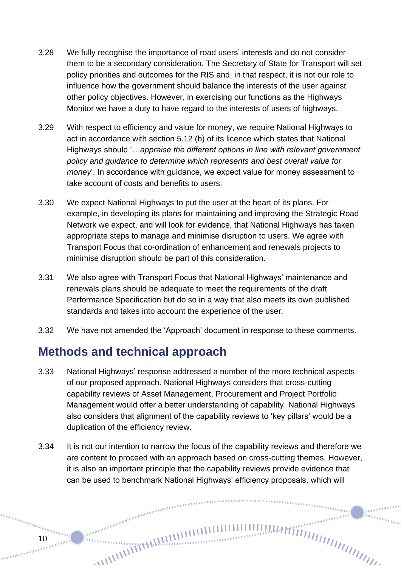- 3.28 We fully recognise the importance of road users' interests and do not consider them to be a secondary consideration. The Secretary of State for Transport will set policy priorities and outcomes for the RIS and, in that respect, it is not our role to influence how the government should balance the interests of the user against other policy objectives. However, in exercising our functions as the Highways Monitor we have a duty to have regard to the interests of users of highways.
- 3.29 With respect to efficiency and value for money, we require National Highways to act in accordance with section 5.12 (b) of its licence which states that National Highways should '*…appraise the different options in line with relevant government policy and guidance to determine which represents and best overall value for money*'. In accordance with guidance, we expect value for money assessment to take account of costs and benefits to users.
- 3.30 We expect National Highways to put the user at the heart of its plans. For example, in developing its plans for maintaining and improving the Strategic Road Network we expect, and will look for evidence, that National Highways has taken appropriate steps to manage and minimise disruption to users. We agree with Transport Focus that co-ordination of enhancement and renewals projects to minimise disruption should be part of this consideration.
- 3.31 We also agree with Transport Focus that National Highways' maintenance and renewals plans should be adequate to meet the requirements of the draft Performance Specification but do so in a way that also meets its own published standards and takes into account the experience of the user.
- 3.32 We have not amended the 'Approach' document in response to these comments.

#### <span id="page-9-0"></span>**Methods and technical approach**

- 3.33 National Highways' response addressed a number of the more technical aspects of our proposed approach. National Highways considers that cross-cutting capability reviews of Asset Management, Procurement and Project Portfolio Management would offer a better understanding of capability. National Highways also considers that alignment of the capability reviews to 'key pillars' would be a duplication of the efficiency review.
- 3.34 It is not our intention to narrow the focus of the capability reviews and therefore we are content to proceed with an approach based on cross-cutting themes. However, it is also an important principle that the capability reviews provide evidence that can be used to benchmark National Highways' efficiency proposals, which will

 $\frac{m n_{\text{min}}}{\sqrt{m}}$ 

ammanan hunggan d

annon anno anno anno anno anno anno

manamana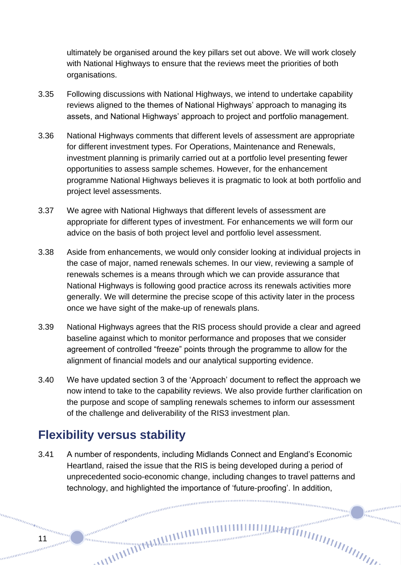ultimately be organised around the key pillars set out above. We will work closely with National Highways to ensure that the reviews meet the priorities of both organisations.

- 3.35 Following discussions with National Highways, we intend to undertake capability reviews aligned to the themes of National Highways' approach to managing its assets, and National Highways' approach to project and portfolio management.
- 3.36 National Highways comments that different levels of assessment are appropriate for different investment types. For Operations, Maintenance and Renewals, investment planning is primarily carried out at a portfolio level presenting fewer opportunities to assess sample schemes. However, for the enhancement programme National Highways believes it is pragmatic to look at both portfolio and project level assessments.
- 3.37 We agree with National Highways that different levels of assessment are appropriate for different types of investment. For enhancements we will form our advice on the basis of both project level and portfolio level assessment.
- 3.38 Aside from enhancements, we would only consider looking at individual projects in the case of major, named renewals schemes. In our view, reviewing a sample of renewals schemes is a means through which we can provide assurance that National Highways is following good practice across its renewals activities more generally. We will determine the precise scope of this activity later in the process once we have sight of the make-up of renewals plans.
- 3.39 National Highways agrees that the RIS process should provide a clear and agreed baseline against which to monitor performance and proposes that we consider agreement of controlled "freeze" points through the programme to allow for the alignment of financial models and our analytical supporting evidence.
- 3.40 We have updated section 3 of the 'Approach' document to reflect the approach we now intend to take to the capability reviews. We also provide further clarification on the purpose and scope of sampling renewals schemes to inform our assessment of the challenge and deliverability of the RIS3 investment plan.

#### <span id="page-10-0"></span>**Flexibility versus stability**

3.41 A number of respondents, including Midlands Connect and England's Economic Heartland, raised the issue that the RIS is being developed during a period of unprecedented socio-economic change, including changes to travel patterns and technology, and highlighted the importance of 'future-proofing'. In addition,<br>and the importance of the importance of the construction of the construction of the construction of the construction of the construction of the

ammanan hunggan d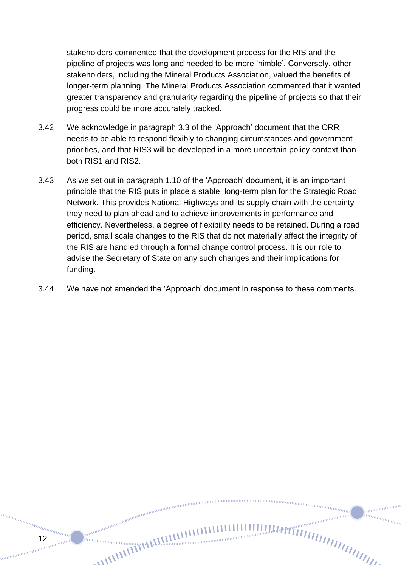stakeholders commented that the development process for the RIS and the pipeline of projects was long and needed to be more 'nimble'. Conversely, other stakeholders, including the Mineral Products Association, valued the benefits of longer-term planning. The Mineral Products Association commented that it wanted greater transparency and granularity regarding the pipeline of projects so that their progress could be more accurately tracked.

- 3.42 We acknowledge in paragraph 3.3 of the 'Approach' document that the ORR needs to be able to respond flexibly to changing circumstances and government priorities, and that RIS3 will be developed in a more uncertain policy context than both RIS1 and RIS2.
- 3.43 As we set out in paragraph 1.10 of the 'Approach' document, it is an important principle that the RIS puts in place a stable, long-term plan for the Strategic Road Network. This provides National Highways and its supply chain with the certainty they need to plan ahead and to achieve improvements in performance and efficiency. Nevertheless, a degree of flexibility needs to be retained. During a road period, small scale changes to the RIS that do not materially affect the integrity of the RIS are handled through a formal change control process. It is our role to advise the Secretary of State on any such changes and their implications for funding.
- 3.44 We have not amended the 'Approach' document in response to these comments.

naaaaaaaaaa

munimum in<sub>nnmmm</sub>

12

annan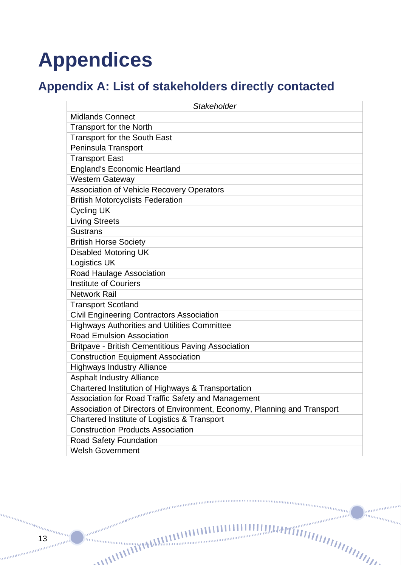# <span id="page-12-0"></span>**Appendices**

### <span id="page-12-1"></span>**Appendix A: List of stakeholders directly contacted**

| Stakeholder                                                              |  |  |
|--------------------------------------------------------------------------|--|--|
| <b>Midlands Connect</b>                                                  |  |  |
| <b>Transport for the North</b>                                           |  |  |
| <b>Transport for the South East</b>                                      |  |  |
| Peninsula Transport                                                      |  |  |
| <b>Transport East</b>                                                    |  |  |
| <b>England's Economic Heartland</b>                                      |  |  |
| <b>Western Gateway</b>                                                   |  |  |
| Association of Vehicle Recovery Operators                                |  |  |
| <b>British Motorcyclists Federation</b>                                  |  |  |
| <b>Cycling UK</b>                                                        |  |  |
| <b>Living Streets</b>                                                    |  |  |
| <b>Sustrans</b>                                                          |  |  |
| <b>British Horse Society</b>                                             |  |  |
| <b>Disabled Motoring UK</b>                                              |  |  |
| <b>Logistics UK</b>                                                      |  |  |
| Road Haulage Association                                                 |  |  |
| <b>Institute of Couriers</b>                                             |  |  |
| <b>Network Rail</b>                                                      |  |  |
| <b>Transport Scotland</b>                                                |  |  |
| <b>Civil Engineering Contractors Association</b>                         |  |  |
| <b>Highways Authorities and Utilities Committee</b>                      |  |  |
| <b>Road Emulsion Association</b>                                         |  |  |
| Britpave - British Cementitious Paving Association                       |  |  |
| <b>Construction Equipment Association</b>                                |  |  |
| <b>Highways Industry Alliance</b>                                        |  |  |
| <b>Asphalt Industry Alliance</b>                                         |  |  |
| Chartered Institution of Highways & Transportation                       |  |  |
| Association for Road Traffic Safety and Management                       |  |  |
| Association of Directors of Environment, Economy, Planning and Transport |  |  |
| Chartered Institute of Logistics & Transport                             |  |  |
| <b>Construction Products Association</b>                                 |  |  |
| Road Safety Foundation                                                   |  |  |
| <b>Welsh Government</b>                                                  |  |  |

13

un<sub>tun</sub>

. ev

un<sub>ununun</sub>

anaaaaaaaa

annanananananan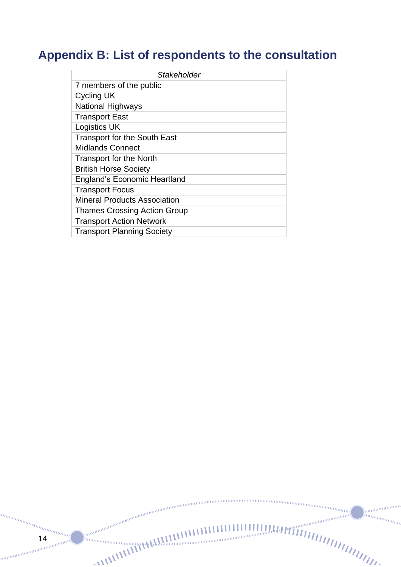### <span id="page-13-0"></span>**Appendix B: List of respondents to the consultation**

| Stakeholder                         |
|-------------------------------------|
| 7 members of the public             |
| Cycling UK                          |
| <b>National Highways</b>            |
| <b>Transport East</b>               |
| Logistics UK                        |
| <b>Transport for the South East</b> |
| <b>Midlands Connect</b>             |
| <b>Transport for the North</b>      |
| <b>British Horse Society</b>        |
| <b>England's Economic Heartland</b> |
| <b>Transport Focus</b>              |
| Mineral Products Association        |
| <b>Thames Crossing Action Group</b> |
| <b>Transport Action Network</b>     |
| <b>Transport Planning Society</b>   |

annuman

menamamamamama

 $\frac{a_{n_{l}}}{14}$ 14

. ee

unun<sub>ununun</sub>

ananananan